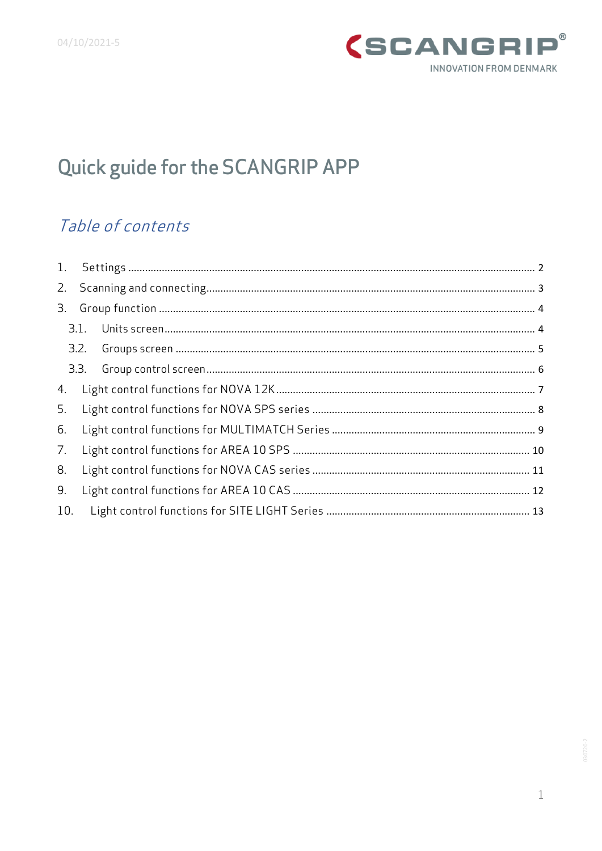

# Quick guide for the SCANGRIP APP

## Table of contents

| 3.  |  |  |
|-----|--|--|
|     |  |  |
|     |  |  |
|     |  |  |
| 4.  |  |  |
| 5.  |  |  |
| 6.  |  |  |
| 7.  |  |  |
| 8.  |  |  |
| 9.  |  |  |
| 10. |  |  |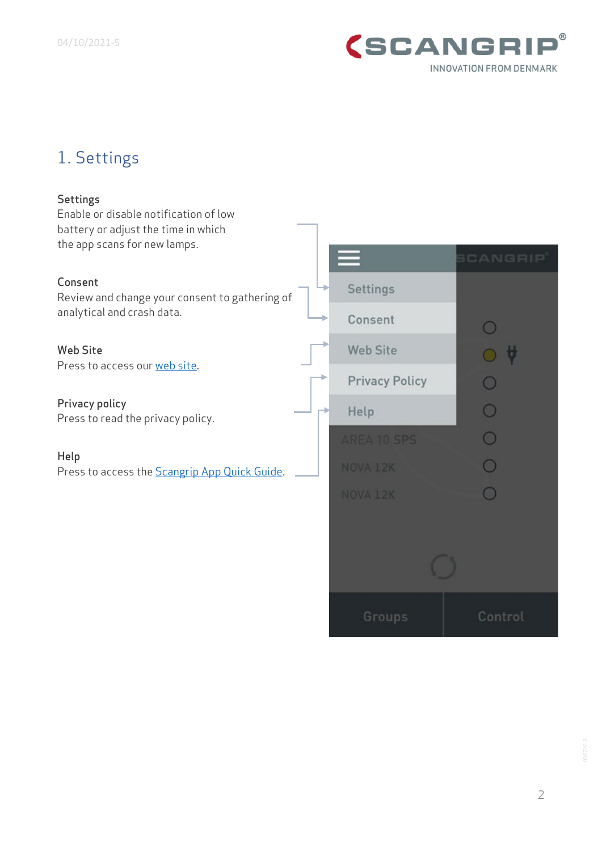

# <span id="page-1-0"></span>1. Settings

| <b>Settings</b><br>Enable or disable notification of low<br>battery or adjust the time in which<br>the app scans for new lamps. |                       |         |
|---------------------------------------------------------------------------------------------------------------------------------|-----------------------|---------|
|                                                                                                                                 |                       | CANGRIP |
| Consent<br>Review and change your consent to gathering of                                                                       | Settings              |         |
| analytical and crash data.                                                                                                      | Consent               |         |
| <b>Web Site</b><br>Press to access our web site.                                                                                | <b>Web Site</b>       |         |
|                                                                                                                                 | <b>Privacy Policy</b> |         |
| Privacy policy<br>Press to read the privacy policy.                                                                             | Help                  |         |
|                                                                                                                                 | AREA 10 SPS           |         |
| Help<br>Press to access the <b>Scangrip App Quick Guide</b> .                                                                   | NOVA 12K              |         |
|                                                                                                                                 | NOVA 12K              |         |
|                                                                                                                                 |                       |         |
|                                                                                                                                 |                       |         |
|                                                                                                                                 | Croin                 | Control |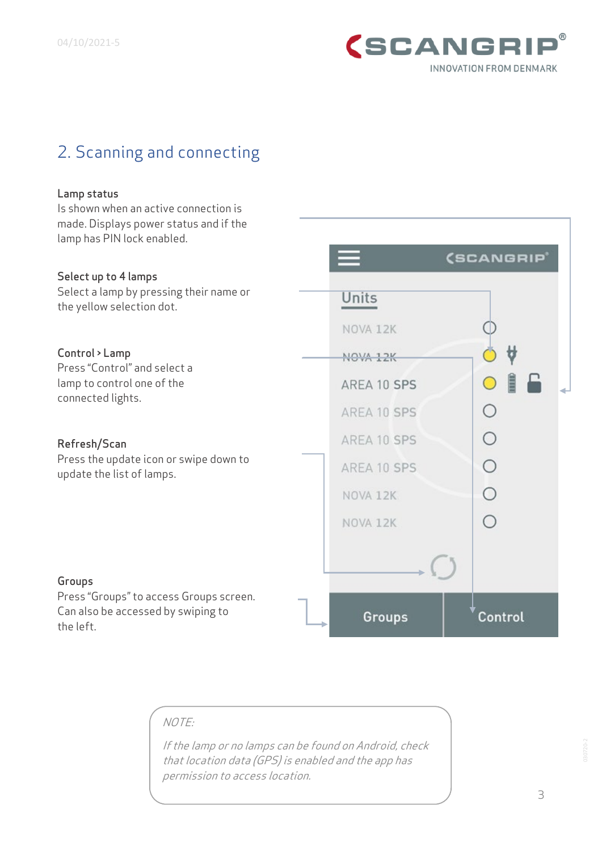

### <span id="page-2-0"></span>2. Scanning and connecting

#### Lamp status

Is shown when an active connection is made. Displays power status and if the lamp has PIN lock enabled.

#### (SCANGRIP) Select up to 4 lamps Select a lamp by pressing their name or Units the yellow selection dot. NOVA 12K Control > Lamp NOVA 12K Press "Control" and select a  $\mathbf{B}$ lamp to control one of the AREA 10 SPS connected lights.  $\circ$ AREA 10 SPS  $\bigcirc$ AREA 10 SPS Refresh/Scan Press the update icon or swipe down to  $\circ$ AREA 10 SPS update the list of lamps.  $\circ$ NOVA 12K ∩ NOVA 12K Groups Press "Groups" to access Groups screen. Can also be accessed by swiping to Groups Control the left.

### NOTE:

If the lamp or no lamps can be found on Android, check that location data (GPS) is enabled and the app has permission to access location.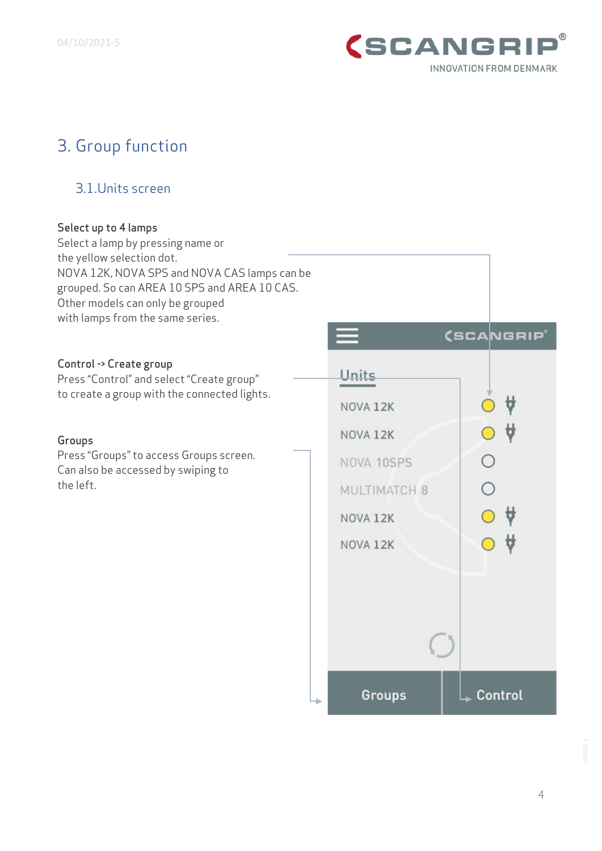

# <span id="page-3-0"></span>3. Group function

### <span id="page-3-1"></span>3.1.Units screen

| Select up to 4 lamps<br>Select a lamp by pressing name or                                                                                                                                         |  |              |                        |
|---------------------------------------------------------------------------------------------------------------------------------------------------------------------------------------------------|--|--------------|------------------------|
| the yellow selection dot.<br>NOVA 12K, NOVA SPS and NOVA CAS lamps can be<br>grouped. So can AREA 10 SPS and AREA 10 CAS.<br>Other models can only be grouped<br>with lamps from the same series. |  |              |                        |
|                                                                                                                                                                                                   |  |              | (SCANGRIP <sup>®</sup> |
| Control -> Create group<br>Press "Control" and select "Create group"                                                                                                                              |  | Units        |                        |
| to create a group with the connected lights.                                                                                                                                                      |  | NOVA 12K     |                        |
| Groups                                                                                                                                                                                            |  | NOVA 12K     |                        |
| Press "Groups" to access Groups screen.<br>Can also be accessed by swiping to                                                                                                                     |  | NOVA 10SPS   |                        |
| the left.                                                                                                                                                                                         |  | MULTIMATCH 8 |                        |
|                                                                                                                                                                                                   |  | NOVA 12K     |                        |
|                                                                                                                                                                                                   |  | NOVA 12K     |                        |
|                                                                                                                                                                                                   |  |              |                        |
|                                                                                                                                                                                                   |  |              |                        |
|                                                                                                                                                                                                   |  |              |                        |
|                                                                                                                                                                                                   |  |              |                        |
|                                                                                                                                                                                                   |  | Groups       | Control                |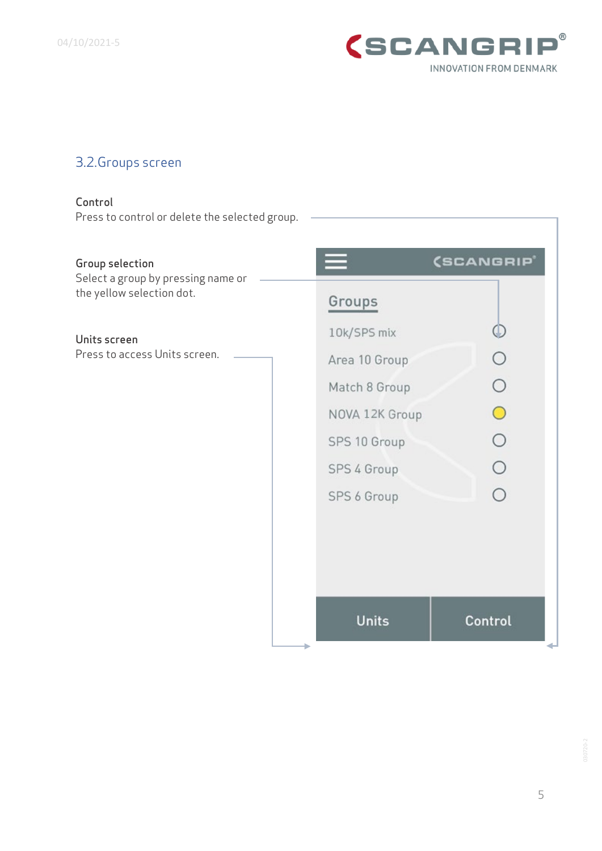

### <span id="page-4-0"></span>3.2.Groups screen

#### Control

Press to control or delete the selected group.

#### Group selection

Select a group by pressing name or the yellow selection dot.

#### Units screen

Press to access Units screen.

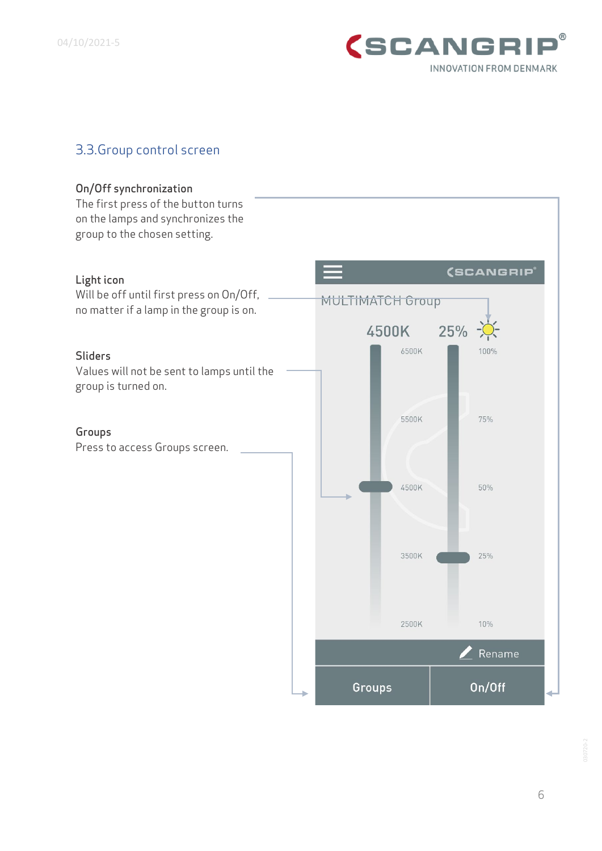

### <span id="page-5-0"></span>3.3.Group control screen

#### On/Off synchronization

The first press of the button turns on the lamps and synchronizes the group to the chosen setting. (SCANGRIP® Light icon Will be off until first press on On/Off, **MULTIMATCH Group** no matter if a lamp in the group is on.  $25%$   $\frac{1}{2}$ 4500K 6500K 100% Sliders Values will not be sent to lamps until the group is turned on. 5500K 75% Groups Press to access Groups screen.4500K 50% 25% 3500K 2500K 10% Rename On/Off Groups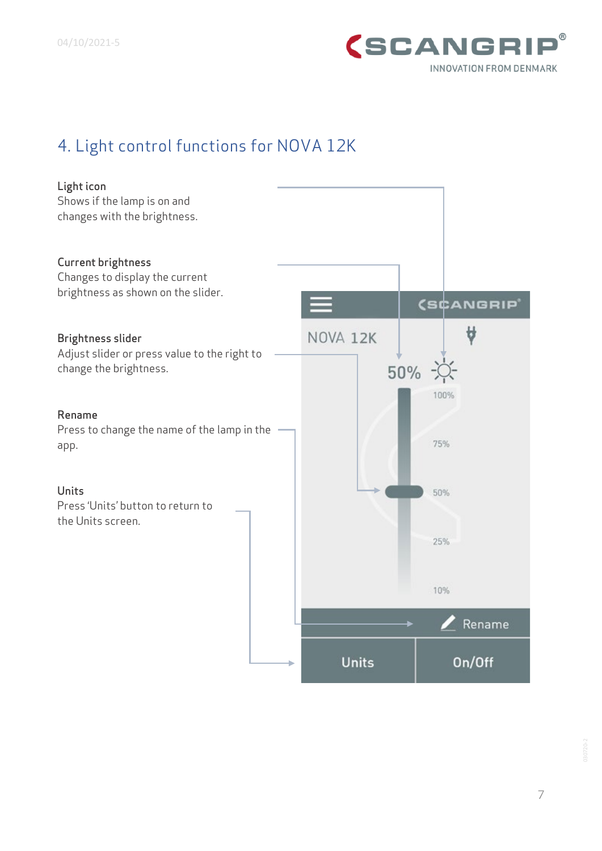

### <span id="page-6-0"></span>4. Light control functions for NOVA 12K

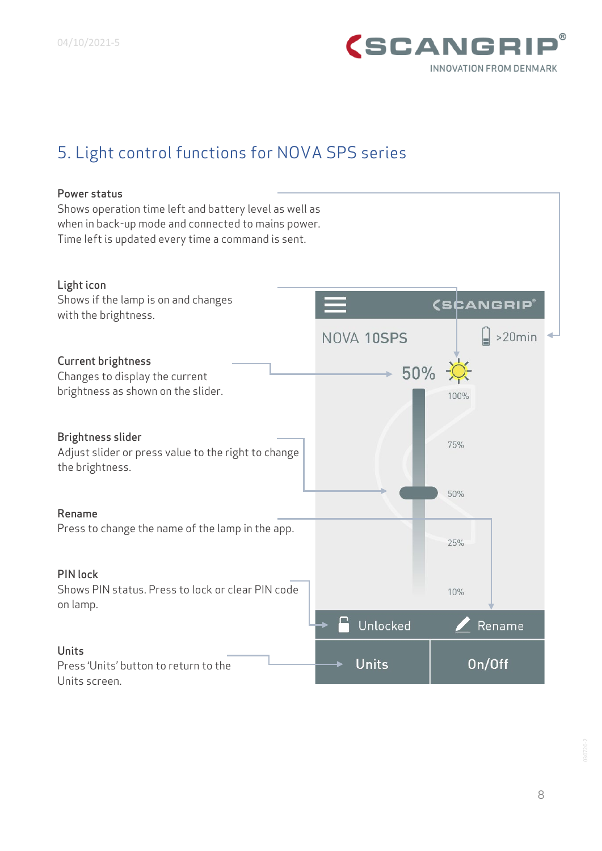

### <span id="page-7-0"></span>5. Light control functions for NOVA SPS series

### Power status

Shows operation time left and battery level as well as when in back-up mode and connected to mains power. Time left is updated every time a command is sent.

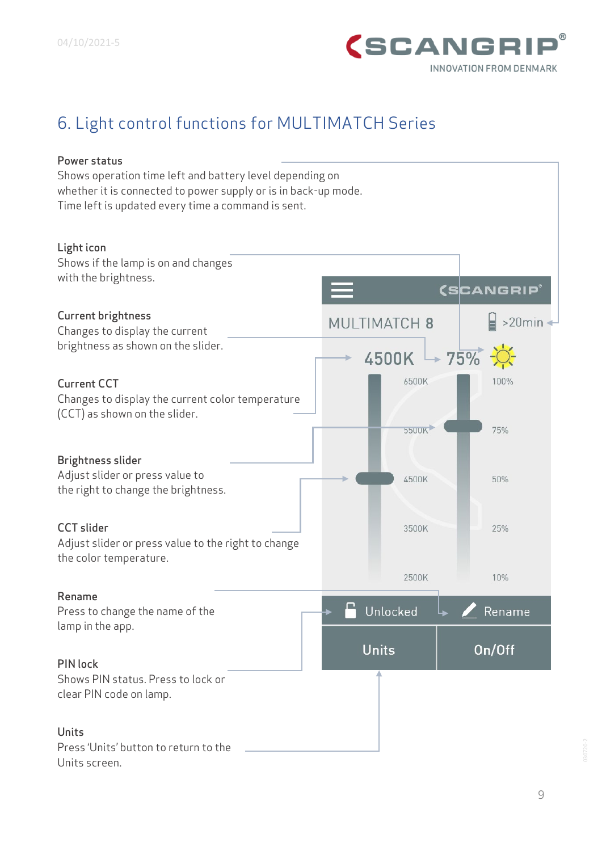

# <span id="page-8-0"></span>6. Light control functions for MULTIMATCH Series

| Power status                                                   |                |                    |  |  |  |  |  |  |  |
|----------------------------------------------------------------|----------------|--------------------|--|--|--|--|--|--|--|
| Shows operation time left and battery level depending on       |                |                    |  |  |  |  |  |  |  |
| whether it is connected to power supply or is in back-up mode. |                |                    |  |  |  |  |  |  |  |
| Time left is updated every time a command is sent.             |                |                    |  |  |  |  |  |  |  |
|                                                                |                |                    |  |  |  |  |  |  |  |
|                                                                |                |                    |  |  |  |  |  |  |  |
| Light icon                                                     |                |                    |  |  |  |  |  |  |  |
| Shows if the lamp is on and changes                            |                |                    |  |  |  |  |  |  |  |
| with the brightness.                                           |                |                    |  |  |  |  |  |  |  |
|                                                                |                | <b>(SCANGRIP</b> ® |  |  |  |  |  |  |  |
| <b>Current brightness</b>                                      | MULTIMATCH 8   | $>20$ min          |  |  |  |  |  |  |  |
| Changes to display the current                                 |                |                    |  |  |  |  |  |  |  |
| brightness as shown on the slider.                             |                |                    |  |  |  |  |  |  |  |
|                                                                | $4500K + 75\%$ |                    |  |  |  |  |  |  |  |
| <b>Current CCT</b>                                             | 6500K          | 100%               |  |  |  |  |  |  |  |
|                                                                |                |                    |  |  |  |  |  |  |  |
| Changes to display the current color temperature               |                |                    |  |  |  |  |  |  |  |
| (CCT) as shown on the slider.                                  |                |                    |  |  |  |  |  |  |  |
|                                                                | <b>5500K</b>   | 75%                |  |  |  |  |  |  |  |
|                                                                |                |                    |  |  |  |  |  |  |  |
| <b>Brightness slider</b>                                       |                |                    |  |  |  |  |  |  |  |
| Adjust slider or press value to                                | 4500K          | 50%                |  |  |  |  |  |  |  |
| the right to change the brightness.                            |                |                    |  |  |  |  |  |  |  |
|                                                                |                |                    |  |  |  |  |  |  |  |
| <b>CCT</b> slider                                              | 3500K          | 25%                |  |  |  |  |  |  |  |
| Adjust slider or press value to the right to change            |                |                    |  |  |  |  |  |  |  |
| the color temperature.                                         |                |                    |  |  |  |  |  |  |  |
|                                                                | 2500K          | 10%                |  |  |  |  |  |  |  |
|                                                                |                |                    |  |  |  |  |  |  |  |
| Rename                                                         | ⊓              |                    |  |  |  |  |  |  |  |
| Press to change the name of the                                | Unlocked       | Rename             |  |  |  |  |  |  |  |
| lamp in the app.                                               |                |                    |  |  |  |  |  |  |  |
|                                                                | <b>Units</b>   | On/Off             |  |  |  |  |  |  |  |
| <b>PIN lock</b>                                                |                |                    |  |  |  |  |  |  |  |
| Shows PIN status. Press to lock or                             |                |                    |  |  |  |  |  |  |  |
| clear PIN code on lamp.                                        |                |                    |  |  |  |  |  |  |  |
|                                                                |                |                    |  |  |  |  |  |  |  |
|                                                                |                |                    |  |  |  |  |  |  |  |
| <b>Units</b>                                                   |                |                    |  |  |  |  |  |  |  |
| Press 'Units' button to return to the                          |                |                    |  |  |  |  |  |  |  |
| Units screen.                                                  |                |                    |  |  |  |  |  |  |  |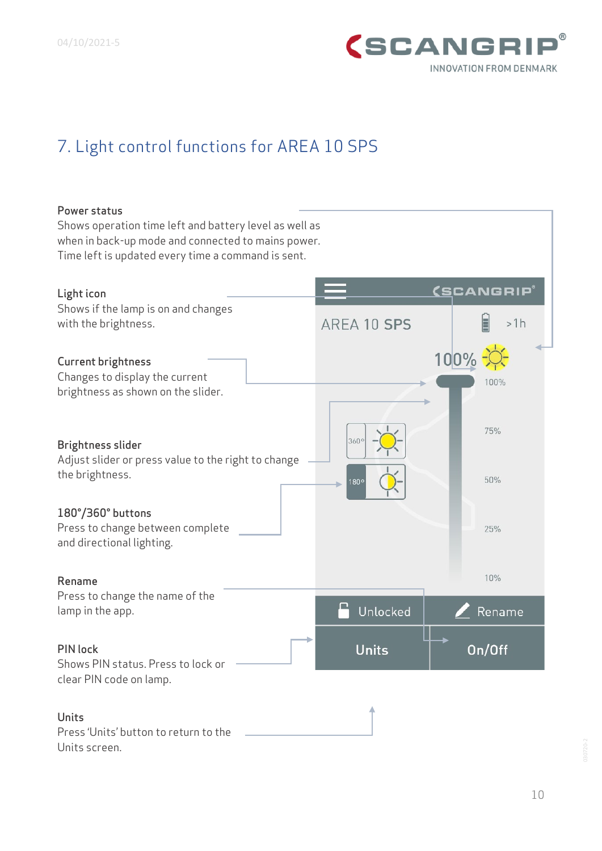

# <span id="page-9-0"></span>7. Light control functions for AREA 10 SPS

#### Power status

Shows operation time left and battery level as well as when in back-up mode and connected to mains power. Time left is updated every time a command is sent.

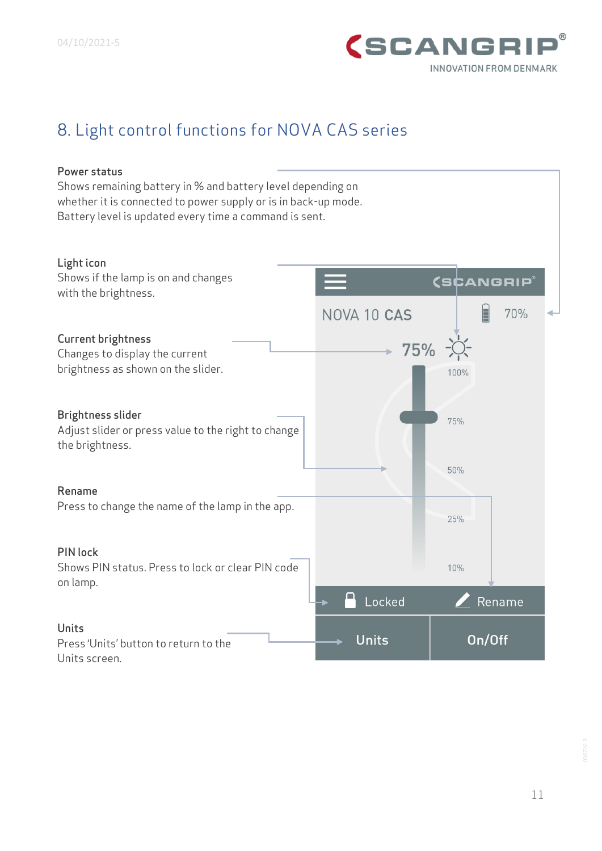

## <span id="page-10-0"></span>8. Light control functions for NOVA CAS series

#### Power status

Shows remaining battery in % and battery level depending on whether it is connected to power supply or is in back-up mode. Battery level is updated every time a command is sent.

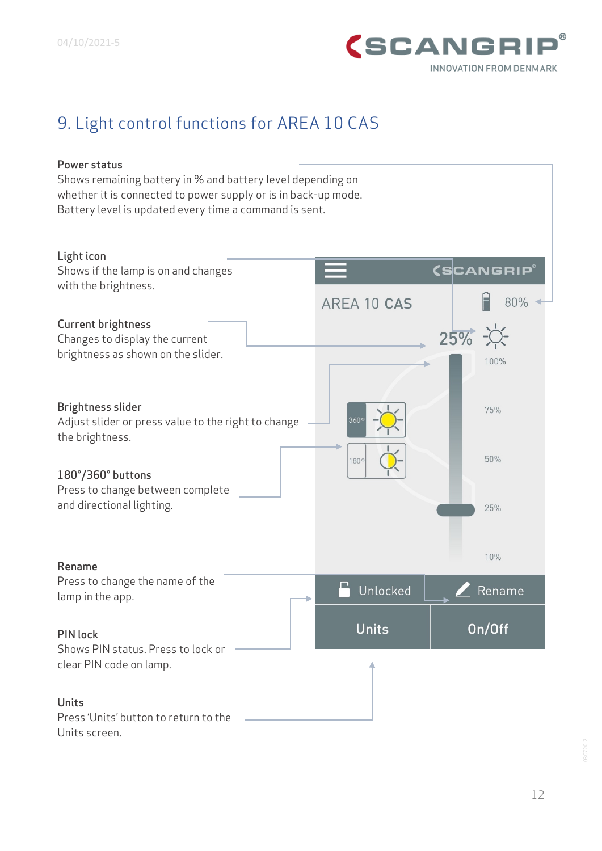

## <span id="page-11-0"></span>9. Light control functions for AREA 10 CAS

#### Power status

Shows remaining battery in % and battery level depending on whether it is connected to power supply or is in back-up mode. Battery level is updated every time a command is sent.